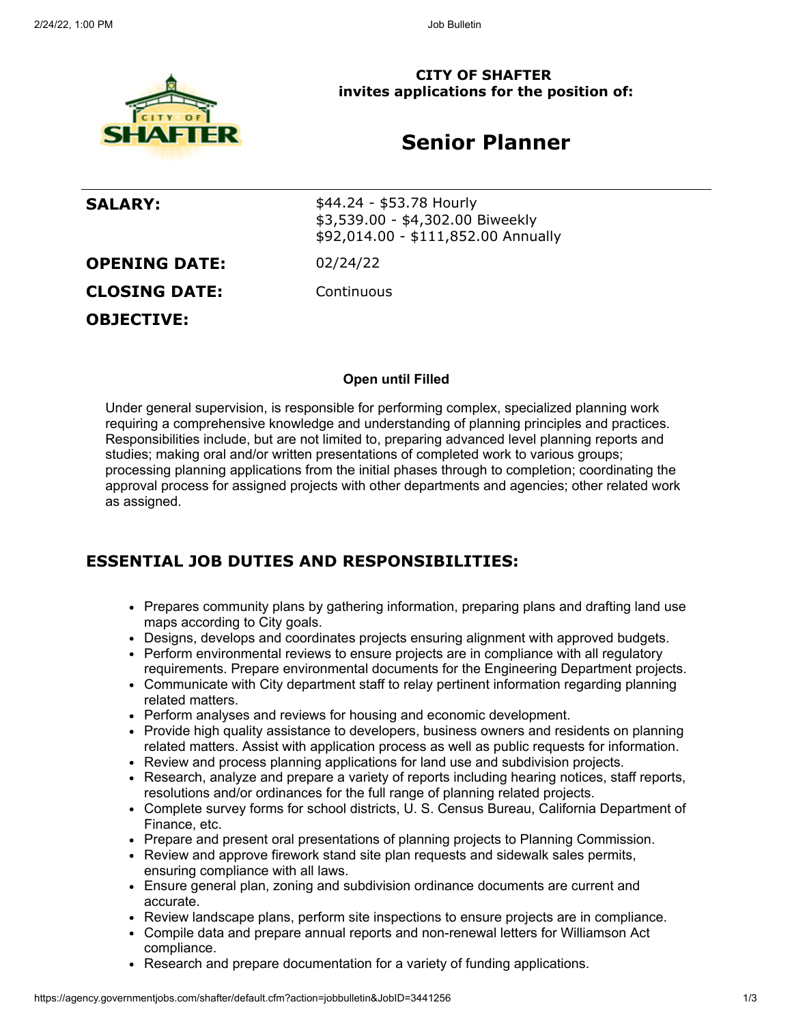

**CITY OF SHAFTER invites applications for the position of:**

# **Senior Planner**

**SALARY:**  $$44.24 - $53.78$  Hourly \$3,539.00 - \$4,302.00 Biweekly \$92,014.00 - \$111,852.00 Annually

**OPENING DATE:** 02/24/22

**CLOSING DATE:** Continuous

**OBJECTIVE:**

**Open until Filled**

Under general supervision, is responsible for performing complex, specialized planning work requiring a comprehensive knowledge and understanding of planning principles and practices. Responsibilities include, but are not limited to, preparing advanced level planning reports and studies; making oral and/or written presentations of completed work to various groups; processing planning applications from the initial phases through to completion; coordinating the approval process for assigned projects with other departments and agencies; other related work as assigned.

### **ESSENTIAL JOB DUTIES AND RESPONSIBILITIES:**

- Prepares community plans by gathering information, preparing plans and drafting land use maps according to City goals.
- Designs, develops and coordinates projects ensuring alignment with approved budgets.
- Perform environmental reviews to ensure projects are in compliance with all regulatory requirements. Prepare environmental documents for the Engineering Department projects.
- Communicate with City department staff to relay pertinent information regarding planning related matters.
- Perform analyses and reviews for housing and economic development.
- Provide high quality assistance to developers, business owners and residents on planning related matters. Assist with application process as well as public requests for information.
- Review and process planning applications for land use and subdivision projects.
- Research, analyze and prepare a variety of reports including hearing notices, staff reports, resolutions and/or ordinances for the full range of planning related projects.
- Complete survey forms for school districts, U. S. Census Bureau, California Department of Finance, etc.
- Prepare and present oral presentations of planning projects to Planning Commission.
- Review and approve firework stand site plan requests and sidewalk sales permits, ensuring compliance with all laws.
- Ensure general plan, zoning and subdivision ordinance documents are current and accurate.
- Review landscape plans, perform site inspections to ensure projects are in compliance.
- Compile data and prepare annual reports and non-renewal letters for Williamson Act compliance.
- Research and prepare documentation for a variety of funding applications.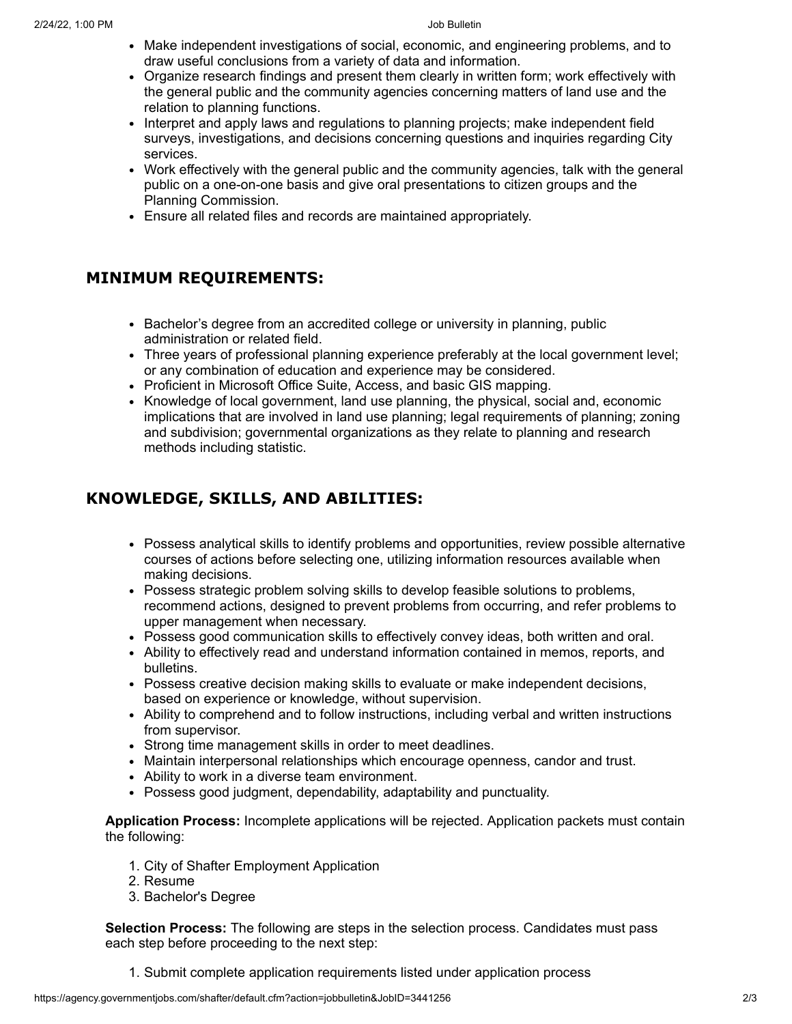- Make independent investigations of social, economic, and engineering problems, and to draw useful conclusions from a variety of data and information.
- Organize research findings and present them clearly in written form; work effectively with the general public and the community agencies concerning matters of land use and the relation to planning functions.
- Interpret and apply laws and regulations to planning projects; make independent field surveys, investigations, and decisions concerning questions and inquiries regarding City services.
- Work effectively with the general public and the community agencies, talk with the general public on a one-on-one basis and give oral presentations to citizen groups and the Planning Commission.
- Ensure all related files and records are maintained appropriately.

### **MINIMUM REQUIREMENTS:**

- Bachelor's degree from an accredited college or university in planning, public administration or related field.
- Three years of professional planning experience preferably at the local government level; or any combination of education and experience may be considered.
- Proficient in Microsoft Office Suite, Access, and basic GIS mapping.
- Knowledge of local government, land use planning, the physical, social and, economic implications that are involved in land use planning; legal requirements of planning; zoning and subdivision; governmental organizations as they relate to planning and research methods including statistic.

## **KNOWLEDGE, SKILLS, AND ABILITIES:**

- Possess analytical skills to identify problems and opportunities, review possible alternative courses of actions before selecting one, utilizing information resources available when making decisions.
- Possess strategic problem solving skills to develop feasible solutions to problems, recommend actions, designed to prevent problems from occurring, and refer problems to upper management when necessary.
- Possess good communication skills to effectively convey ideas, both written and oral.
- Ability to effectively read and understand information contained in memos, reports, and bulletins.
- Possess creative decision making skills to evaluate or make independent decisions, based on experience or knowledge, without supervision.
- Ability to comprehend and to follow instructions, including verbal and written instructions from supervisor.
- Strong time management skills in order to meet deadlines.
- Maintain interpersonal relationships which encourage openness, candor and trust.
- Ability to work in a diverse team environment.
- Possess good judgment, dependability, adaptability and punctuality.

**Application Process:** Incomplete applications will be rejected. Application packets must contain the following:

- 1. City of Shafter Employment Application
- 2. Resume
- 3. Bachelor's Degree

**Selection Process:** The following are steps in the selection process. Candidates must pass each step before proceeding to the next step:

1. Submit complete application requirements listed under application process